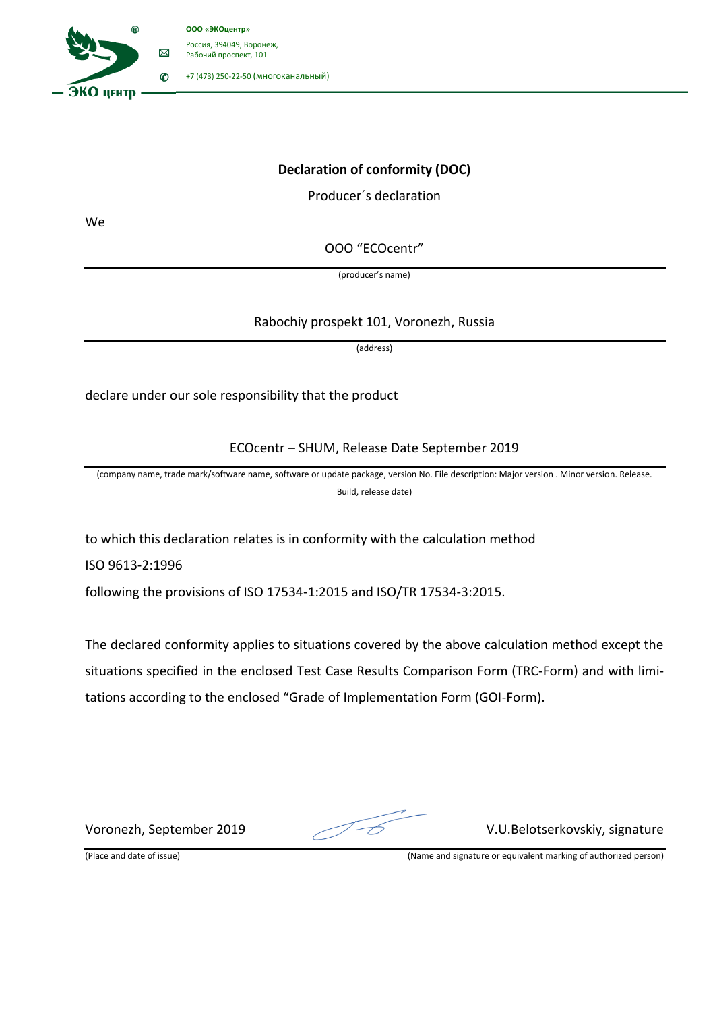

## **Declaration of conformity (DOC)**

Producer´s declaration

We

OOO "ECOcentr"

(producer's name)

## Rabochiy prospekt 101, Voronezh, Russia

(address)

declare under our sole responsibility that the product

ECOcentr – SHUM, Release Date September 2019

(company name, trade mark/software name, software or update package, version No. File description: Major version . Minor version. Release. Build, release date)

to which this declaration relates is in conformity with the calculation method

ISO 9613-2:1996

following the provisions of ISO 17534-1:2015 and ISO/TR 17534-3:2015.

The declared conformity applies to situations covered by the above calculation method except the situations specified in the enclosed Test Case Results Comparison Form (TRC-Form) and with limitations according to the enclosed "Grade of Implementation Form (GOI-Form).

Voronezh, September 2019 V.U.Belotserkovskiy, signature

(Place and date of issue) (Name and signature or equivalent marking of authorized person)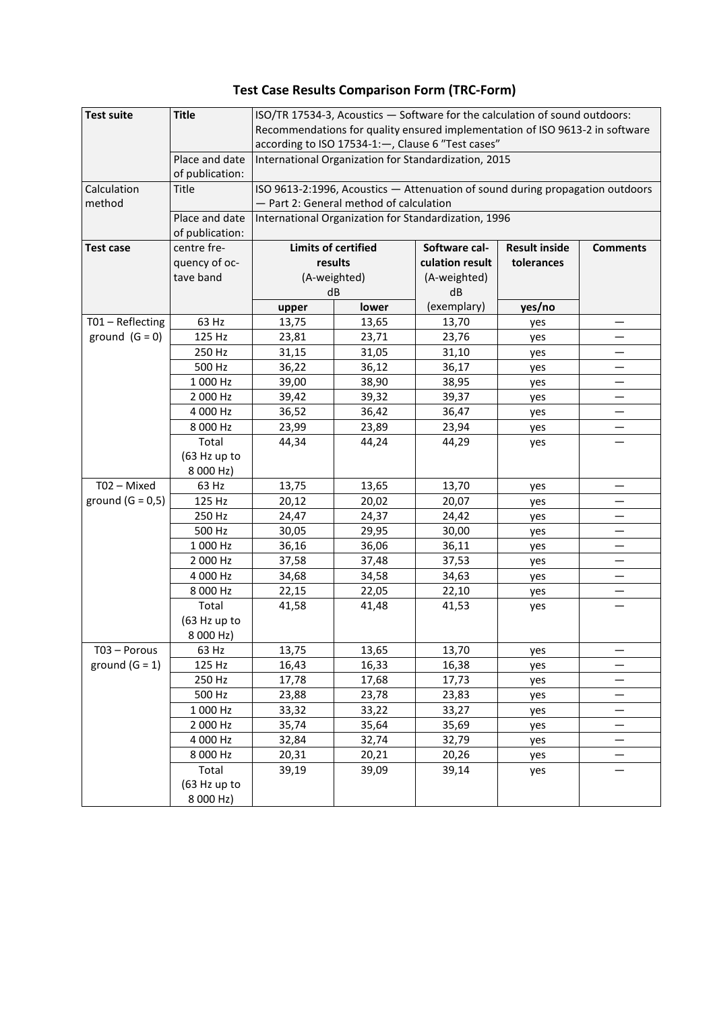## **Test Case Results Comparison Form (TRC-Form)**

| <b>Test suite</b>  | <b>Title</b>                   | ISO/TR 17534-3, Acoustics - Software for the calculation of sound outdoors:<br>Recommendations for quality ensured implementation of ISO 9613-2 in software |                |                                 |            |   |  |  |  |  |
|--------------------|--------------------------------|-------------------------------------------------------------------------------------------------------------------------------------------------------------|----------------|---------------------------------|------------|---|--|--|--|--|
|                    |                                |                                                                                                                                                             |                |                                 |            |   |  |  |  |  |
|                    |                                | according to ISO 17534-1:-, Clause 6 "Test cases"<br>International Organization for Standardization, 2015                                                   |                |                                 |            |   |  |  |  |  |
|                    | Place and date                 |                                                                                                                                                             |                |                                 |            |   |  |  |  |  |
|                    | of publication:                |                                                                                                                                                             |                |                                 |            |   |  |  |  |  |
| Calculation        | Title                          | ISO 9613-2:1996, Acoustics - Attenuation of sound during propagation outdoors<br>- Part 2: General method of calculation                                    |                |                                 |            |   |  |  |  |  |
| method             | Place and date                 |                                                                                                                                                             |                |                                 |            |   |  |  |  |  |
|                    |                                | International Organization for Standardization, 1996                                                                                                        |                |                                 |            |   |  |  |  |  |
| <b>Test case</b>   | of publication:<br>centre fre- | <b>Limits of certified</b><br>Software cal-<br><b>Result inside</b><br><b>Comments</b>                                                                      |                |                                 |            |   |  |  |  |  |
|                    | quency of oc-                  | results                                                                                                                                                     | tolerances     |                                 |            |   |  |  |  |  |
|                    | tave band                      |                                                                                                                                                             | (A-weighted)   | culation result<br>(A-weighted) |            |   |  |  |  |  |
|                    |                                |                                                                                                                                                             | dB             | dB                              |            |   |  |  |  |  |
|                    |                                | upper                                                                                                                                                       | lower          | (exemplary)                     | yes/no     |   |  |  |  |  |
| T01 - Reflecting   | 63 Hz                          | 13,75                                                                                                                                                       | 13,65          | 13,70                           | yes        |   |  |  |  |  |
| ground $(G = 0)$   | 125 Hz                         | 23,81                                                                                                                                                       | 23,71          | 23,76                           | yes        |   |  |  |  |  |
|                    | 250 Hz                         | 31,15                                                                                                                                                       | 31,05          | 31,10                           | yes        | — |  |  |  |  |
|                    | 500 Hz                         | 36,22                                                                                                                                                       | 36,12          | 36,17                           | yes        |   |  |  |  |  |
|                    | 1 000 Hz                       | 39,00                                                                                                                                                       | 38,90          | 38,95                           | yes        |   |  |  |  |  |
|                    | 2 000 Hz                       | 39,42                                                                                                                                                       | 39,32          | 39,37                           | yes        |   |  |  |  |  |
|                    | 4 000 Hz                       | 36,52                                                                                                                                                       | 36,42          | 36,47                           | yes        |   |  |  |  |  |
|                    | 8 000 Hz                       | 23,99                                                                                                                                                       | 23,89          | 23,94                           | yes        |   |  |  |  |  |
|                    | Total                          | 44,34                                                                                                                                                       | 44,24          | 44,29                           | yes        |   |  |  |  |  |
|                    | (63 Hz up to                   |                                                                                                                                                             |                |                                 |            |   |  |  |  |  |
|                    | 8 000 Hz)                      |                                                                                                                                                             |                |                                 |            |   |  |  |  |  |
| T02 - Mixed        | 63 Hz                          | 13,75                                                                                                                                                       | 13,65          | 13,70                           | yes        |   |  |  |  |  |
| ground $(G = 0,5)$ | 125 Hz                         | 20,12                                                                                                                                                       | 20,02          | 20,07                           | yes        |   |  |  |  |  |
|                    | 250 Hz                         | 24,47                                                                                                                                                       | 24,37          | 24,42                           | yes        |   |  |  |  |  |
|                    | 500 Hz                         | 30,05                                                                                                                                                       | 29,95          | 30,00                           | yes        |   |  |  |  |  |
|                    | 1 000 Hz                       | 36,16                                                                                                                                                       | 36,06          | 36,11                           | yes        |   |  |  |  |  |
|                    | 2 000 Hz<br>4 000 Hz           | 37,58<br>34,68                                                                                                                                              | 37,48<br>34,58 | 37,53<br>34,63                  | yes        | — |  |  |  |  |
|                    | 8 000 Hz                       | 22,15                                                                                                                                                       | 22,05          | 22,10                           | yes        |   |  |  |  |  |
|                    | Total                          | 41,58                                                                                                                                                       | 41,48          | 41,53                           | yes<br>yes |   |  |  |  |  |
|                    | (63 Hz up to                   |                                                                                                                                                             |                |                                 |            |   |  |  |  |  |
|                    | 8 000 Hz)                      |                                                                                                                                                             |                |                                 |            |   |  |  |  |  |
| T03 - Porous       | 63 Hz                          | 13,75                                                                                                                                                       | 13,65          | 13,70                           | yes        | — |  |  |  |  |
| ground $(G = 1)$   | 125 Hz                         | 16,43                                                                                                                                                       | 16,33          | 16,38                           | yes        |   |  |  |  |  |
|                    | 250 Hz                         | 17,78                                                                                                                                                       | 17,68          | 17,73                           | yes        |   |  |  |  |  |
|                    | 500 Hz                         | 23,88                                                                                                                                                       | 23,78          | 23,83                           | yes        |   |  |  |  |  |
|                    | 1 000 Hz                       | 33,32                                                                                                                                                       | 33,22          | 33,27                           | yes        |   |  |  |  |  |
|                    | 2 000 Hz                       | 35,74                                                                                                                                                       | 35,64          | 35,69                           | yes        | — |  |  |  |  |
|                    | 4 000 Hz                       | 32,84                                                                                                                                                       | 32,74          | 32,79                           | yes        |   |  |  |  |  |
|                    | 8 000 Hz                       | 20,31                                                                                                                                                       | 20,21          | 20,26                           | yes        |   |  |  |  |  |
|                    | Total                          | 39,19                                                                                                                                                       | 39,09          | 39,14                           | yes        |   |  |  |  |  |
|                    | (63 Hz up to                   |                                                                                                                                                             |                |                                 |            |   |  |  |  |  |
|                    | 8 000 Hz)                      |                                                                                                                                                             |                |                                 |            |   |  |  |  |  |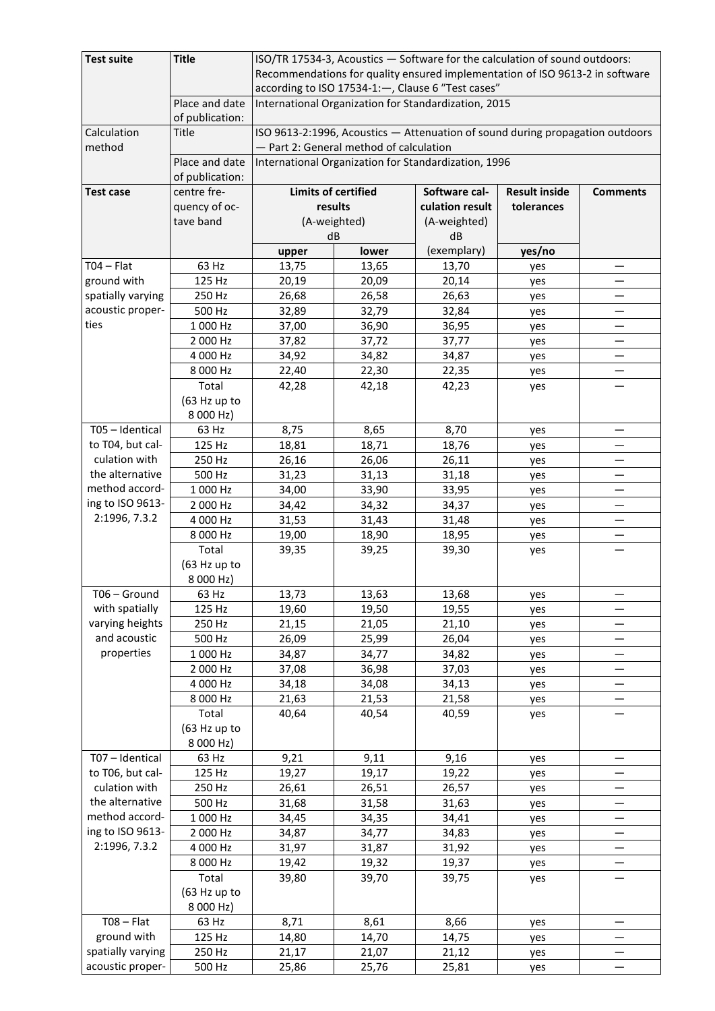| <b>Test suite</b>     | <b>Title</b>                       | ISO/TR 17534-3, Acoustics - Software for the calculation of sound outdoors:<br>Recommendations for quality ensured implementation of ISO 9613-2 in software                      |                                                                                        |              |        |                          |  |  |  |
|-----------------------|------------------------------------|----------------------------------------------------------------------------------------------------------------------------------------------------------------------------------|----------------------------------------------------------------------------------------|--------------|--------|--------------------------|--|--|--|
|                       |                                    | according to ISO 17534-1:-, Clause 6 "Test cases"                                                                                                                                |                                                                                        |              |        |                          |  |  |  |
|                       | Place and date<br>of publication:  | International Organization for Standardization, 2015                                                                                                                             |                                                                                        |              |        |                          |  |  |  |
| Calculation<br>method | <b>Title</b>                       | ISO 9613-2:1996, Acoustics - Attenuation of sound during propagation outdoors<br>- Part 2: General method of calculation<br>International Organization for Standardization, 1996 |                                                                                        |              |        |                          |  |  |  |
|                       | Place and date<br>of publication:  |                                                                                                                                                                                  |                                                                                        |              |        |                          |  |  |  |
| <b>Test case</b>      | centre fre-                        |                                                                                                                                                                                  | <b>Limits of certified</b><br>Software cal-<br><b>Result inside</b><br><b>Comments</b> |              |        |                          |  |  |  |
|                       | quency of oc-                      |                                                                                                                                                                                  | results<br>culation result<br>tolerances                                               |              |        |                          |  |  |  |
|                       | tave band                          | (A-weighted)                                                                                                                                                                     |                                                                                        | (A-weighted) |        |                          |  |  |  |
|                       |                                    | dB                                                                                                                                                                               |                                                                                        | dB           |        |                          |  |  |  |
|                       |                                    | upper                                                                                                                                                                            | lower                                                                                  | (exemplary)  | yes/no |                          |  |  |  |
| $TO4 - Flat$          | 63 Hz                              | 13,75                                                                                                                                                                            | 13,65                                                                                  | 13,70        | yes    |                          |  |  |  |
| ground with           | 125 Hz                             | 20,19                                                                                                                                                                            | 20,09                                                                                  | 20,14        | yes    | —                        |  |  |  |
| spatially varying     | 250 Hz                             | 26,68                                                                                                                                                                            | 26,58                                                                                  | 26,63        | yes    |                          |  |  |  |
| acoustic proper-      | 500 Hz                             | 32,89                                                                                                                                                                            | 32,79                                                                                  | 32,84        | yes    | —                        |  |  |  |
| ties                  | 1 000 Hz                           | 37,00                                                                                                                                                                            | 36,90                                                                                  | 36,95        | yes    |                          |  |  |  |
|                       | 2 000 Hz                           | 37,82                                                                                                                                                                            | 37,72                                                                                  | 37,77        | yes    |                          |  |  |  |
|                       | 4 000 Hz                           | 34,92                                                                                                                                                                            | 34,82                                                                                  | 34,87        | yes    | $\overline{\phantom{0}}$ |  |  |  |
|                       | 8 000 Hz                           | 22,40                                                                                                                                                                            | 22,30                                                                                  | 22,35        | yes    |                          |  |  |  |
|                       | Total                              | 42,28                                                                                                                                                                            | 42,18                                                                                  | 42,23        | yes    |                          |  |  |  |
|                       | (63 Hz up to<br>8 000 Hz)          |                                                                                                                                                                                  |                                                                                        |              |        |                          |  |  |  |
| T05 - Identical       | 63 Hz                              | 8,75                                                                                                                                                                             | 8,65                                                                                   | 8,70         | yes    |                          |  |  |  |
| to T04, but cal-      | 125 Hz                             | 18,81                                                                                                                                                                            | 18,71                                                                                  | 18,76        | yes    |                          |  |  |  |
| culation with         | 250 Hz                             | 26,16                                                                                                                                                                            | 26,06                                                                                  | 26,11        | yes    |                          |  |  |  |
| the alternative       | 500 Hz                             | 31,23                                                                                                                                                                            | 31,13                                                                                  | 31,18        | yes    | —                        |  |  |  |
| method accord-        | 1 000 Hz                           | 34,00                                                                                                                                                                            | 33,90                                                                                  | 33,95        | yes    |                          |  |  |  |
| ing to ISO 9613-      | 2 000 Hz                           | 34,42                                                                                                                                                                            | 34,32                                                                                  | 34,37        | yes    |                          |  |  |  |
| 2:1996, 7.3.2         | 4 000 Hz                           | 31,53                                                                                                                                                                            | 31,43                                                                                  | 31,48        | yes    |                          |  |  |  |
|                       | 8 000 Hz                           | 19,00                                                                                                                                                                            | 18,90                                                                                  | 18,95        | yes    | —                        |  |  |  |
|                       | Total                              | 39,35                                                                                                                                                                            | 39,25                                                                                  | 39,30        | yes    |                          |  |  |  |
|                       | (63 Hz up to<br>8 000 Hz)          |                                                                                                                                                                                  |                                                                                        |              |        |                          |  |  |  |
| T06 - Ground          | 63 Hz                              | 13,73                                                                                                                                                                            | 13,63                                                                                  | 13,68        | yes    |                          |  |  |  |
| with spatially        | 125 Hz                             | 19,60                                                                                                                                                                            | 19,50                                                                                  | 19,55        | yes    |                          |  |  |  |
| varying heights       | 250 Hz                             | 21,15                                                                                                                                                                            | 21,05                                                                                  | 21,10        | yes    |                          |  |  |  |
| and acoustic          | 500 Hz                             | 26,09                                                                                                                                                                            | 25,99                                                                                  | 26,04        | yes    |                          |  |  |  |
| properties            | 1 000 Hz                           | 34,87                                                                                                                                                                            | 34,77                                                                                  | 34,82        | yes    |                          |  |  |  |
|                       | 2 000 Hz                           | 37,08                                                                                                                                                                            | 36,98                                                                                  | 37,03        | yes    |                          |  |  |  |
|                       | 4 000 Hz                           | 34,18                                                                                                                                                                            | 34,08                                                                                  | 34,13        | yes    |                          |  |  |  |
|                       | 8 000 Hz                           | 21,63                                                                                                                                                                            | 21,53                                                                                  | 21,58        | yes    |                          |  |  |  |
|                       | Total<br>(63 Hz up to<br>8 000 Hz) | 40,64                                                                                                                                                                            | 40,54                                                                                  | 40,59        | yes    |                          |  |  |  |
| T07 - Identical       | 63 Hz                              | 9,21                                                                                                                                                                             | 9,11                                                                                   | 9,16         | yes    |                          |  |  |  |
| to T06, but cal-      | 125 Hz                             | 19,27                                                                                                                                                                            | 19,17                                                                                  | 19,22        | yes    |                          |  |  |  |
| culation with         | 250 Hz                             | 26,61                                                                                                                                                                            | 26,51                                                                                  | 26,57        | yes    |                          |  |  |  |
| the alternative       | 500 Hz                             | 31,68                                                                                                                                                                            | 31,58                                                                                  | 31,63        | yes    |                          |  |  |  |
| method accord-        | 1 000 Hz                           | 34,45                                                                                                                                                                            | 34,35                                                                                  | 34,41        | yes    |                          |  |  |  |
| ing to ISO 9613-      | 2 000 Hz                           | 34,87                                                                                                                                                                            | 34,77                                                                                  | 34,83        | yes    |                          |  |  |  |
| 2:1996, 7.3.2         | 4 000 Hz                           | 31,97                                                                                                                                                                            | 31,87                                                                                  | 31,92        | yes    |                          |  |  |  |
|                       | 8 000 Hz                           | 19,42                                                                                                                                                                            | 19,32                                                                                  | 19,37        | yes    |                          |  |  |  |
|                       | Total                              | 39,80                                                                                                                                                                            | 39,70                                                                                  | 39,75        | yes    |                          |  |  |  |
|                       | (63 Hz up to<br>8 000 Hz)          |                                                                                                                                                                                  |                                                                                        |              |        |                          |  |  |  |
| $TO8 - Flat$          | 63 Hz                              | 8,71                                                                                                                                                                             | 8,61                                                                                   | 8,66         | yes    |                          |  |  |  |
| ground with           | 125 Hz                             | 14,80                                                                                                                                                                            | 14,70                                                                                  | 14,75        | yes    |                          |  |  |  |
| spatially varying     | 250 Hz                             | 21,17                                                                                                                                                                            | 21,07                                                                                  | 21,12        | yes    | —                        |  |  |  |
| acoustic proper-      | 500 Hz                             | 25,86                                                                                                                                                                            | 25,76                                                                                  | 25,81        | yes    |                          |  |  |  |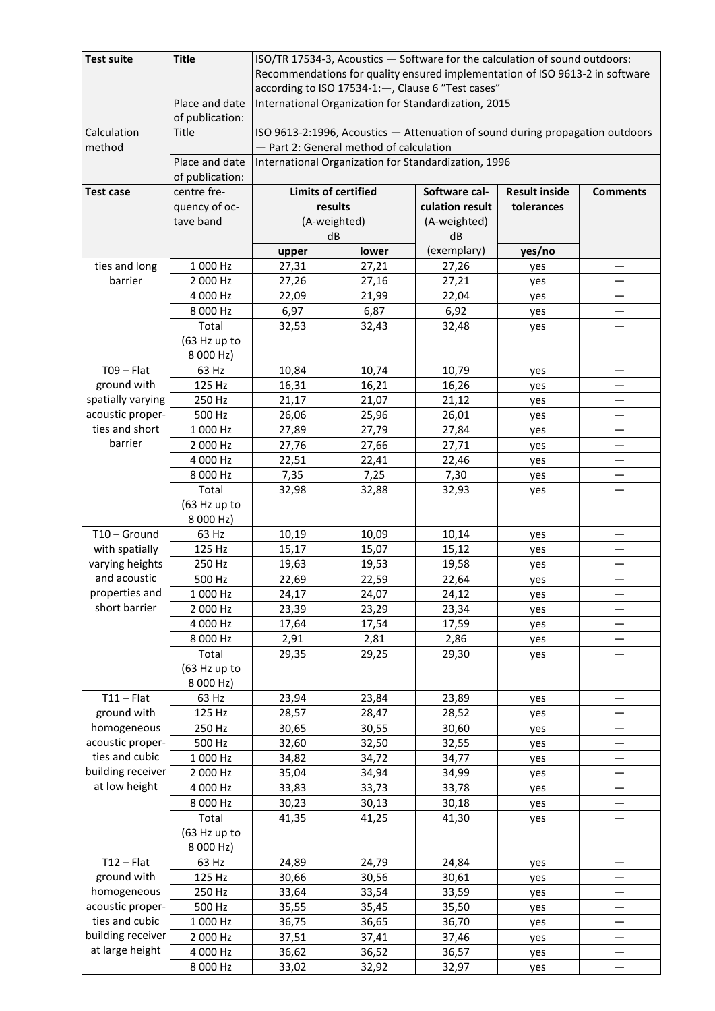| <b>Test suite</b>                  | <b>Title</b>              | ISO/TR 17534-3, Acoustics - Software for the calculation of sound outdoors:                               |                                                                                        |                 |            |                          |  |  |  |
|------------------------------------|---------------------------|-----------------------------------------------------------------------------------------------------------|----------------------------------------------------------------------------------------|-----------------|------------|--------------------------|--|--|--|
|                                    |                           | Recommendations for quality ensured implementation of ISO 9613-2 in software                              |                                                                                        |                 |            |                          |  |  |  |
|                                    | Place and date            | according to ISO 17534-1:-, Clause 6 "Test cases"<br>International Organization for Standardization, 2015 |                                                                                        |                 |            |                          |  |  |  |
|                                    | of publication:           |                                                                                                           |                                                                                        |                 |            |                          |  |  |  |
| Calculation                        | <b>Title</b>              | ISO 9613-2:1996, Acoustics - Attenuation of sound during propagation outdoors                             |                                                                                        |                 |            |                          |  |  |  |
| method                             | Place and date            | - Part 2: General method of calculation<br>International Organization for Standardization, 1996           |                                                                                        |                 |            |                          |  |  |  |
|                                    | of publication:           |                                                                                                           |                                                                                        |                 |            |                          |  |  |  |
| <b>Test case</b>                   | centre fre-               |                                                                                                           | <b>Limits of certified</b><br>Software cal-<br><b>Result inside</b><br><b>Comments</b> |                 |            |                          |  |  |  |
|                                    | quency of oc-             |                                                                                                           | results                                                                                | culation result | tolerances |                          |  |  |  |
|                                    | tave band                 |                                                                                                           | (A-weighted)                                                                           | (A-weighted)    |            |                          |  |  |  |
|                                    |                           |                                                                                                           | dB                                                                                     | dB              |            |                          |  |  |  |
|                                    |                           | upper                                                                                                     | lower                                                                                  | (exemplary)     | yes/no     |                          |  |  |  |
| ties and long                      | 1 000 Hz                  | 27,31                                                                                                     | 27,21                                                                                  | 27,26           | yes        |                          |  |  |  |
| barrier                            | 2 000 Hz                  | 27,26                                                                                                     | 27,16                                                                                  | 27,21           | yes        |                          |  |  |  |
|                                    | 4 000 Hz                  | 22,09                                                                                                     | 21,99                                                                                  | 22,04           | yes        | —                        |  |  |  |
|                                    | 8 000 Hz                  | 6,97                                                                                                      | 6,87                                                                                   | 6,92            | yes        |                          |  |  |  |
|                                    | Total                     | 32,53                                                                                                     | 32,43                                                                                  | 32,48           | yes        |                          |  |  |  |
|                                    | (63 Hz up to              |                                                                                                           |                                                                                        |                 |            |                          |  |  |  |
|                                    | 8 000 Hz)                 |                                                                                                           |                                                                                        |                 |            |                          |  |  |  |
| $TO9 - Flat$                       | 63 Hz                     | 10,84                                                                                                     | 10,74                                                                                  | 10,79           | yes        | —                        |  |  |  |
| ground with                        | 125 Hz                    | 16,31                                                                                                     | 16,21                                                                                  | 16,26           | yes        |                          |  |  |  |
| spatially varying                  | 250 Hz                    | 21,17                                                                                                     | 21,07                                                                                  | 21,12           | yes        |                          |  |  |  |
| acoustic proper-<br>ties and short | 500 Hz                    | 26,06                                                                                                     | 25,96                                                                                  | 26,01           | yes        |                          |  |  |  |
| barrier                            | 1 000 Hz                  | 27,89                                                                                                     | 27,79                                                                                  | 27,84           | yes        |                          |  |  |  |
|                                    | 2 000 Hz                  | 27,76                                                                                                     | 27,66                                                                                  | 27,71           | yes        |                          |  |  |  |
|                                    | 4 000 Hz<br>8 000 Hz      | 22,51<br>7,35                                                                                             | 22,41<br>7,25                                                                          | 22,46           | yes        |                          |  |  |  |
|                                    | Total                     | 32,98                                                                                                     | 32,88                                                                                  | 7,30<br>32,93   | yes        |                          |  |  |  |
|                                    | (63 Hz up to              |                                                                                                           |                                                                                        |                 | yes        |                          |  |  |  |
|                                    | 8 000 Hz)                 |                                                                                                           |                                                                                        |                 |            |                          |  |  |  |
| T10 - Ground                       | 63 Hz                     | 10,19                                                                                                     | 10,09                                                                                  | 10,14           | yes        |                          |  |  |  |
| with spatially                     | 125 Hz                    | 15,17                                                                                                     | 15,07                                                                                  | 15,12           | yes        |                          |  |  |  |
| varying heights                    | 250 Hz                    | 19,63                                                                                                     | 19,53                                                                                  | 19,58           | yes        |                          |  |  |  |
| and acoustic                       | 500 Hz                    | 22,69                                                                                                     | 22,59                                                                                  | 22,64           | yes        | —                        |  |  |  |
| properties and                     | 1 000 Hz                  | 24,17                                                                                                     | 24,07                                                                                  | 24,12           | yes        |                          |  |  |  |
| short barrier                      | 2 000 Hz                  | 23,39                                                                                                     | 23,29                                                                                  | 23,34           | yes        |                          |  |  |  |
|                                    | 4 000 Hz                  | 17,64                                                                                                     | 17,54                                                                                  | 17,59           | yes        |                          |  |  |  |
|                                    | 8 000 Hz                  | 2,91                                                                                                      | 2,81                                                                                   | 2,86            | yes        |                          |  |  |  |
|                                    | Total                     | 29,35                                                                                                     | 29,25                                                                                  | 29,30           | yes        |                          |  |  |  |
|                                    | (63 Hz up to              |                                                                                                           |                                                                                        |                 |            |                          |  |  |  |
|                                    | 8 000 Hz)                 |                                                                                                           |                                                                                        |                 |            |                          |  |  |  |
| $T11 - Flat$                       | 63 Hz                     | 23,94                                                                                                     | 23,84                                                                                  | 23,89           | yes        |                          |  |  |  |
| ground with                        | 125 Hz                    | 28,57                                                                                                     | 28,47                                                                                  | 28,52           | yes        |                          |  |  |  |
| homogeneous                        | 250 Hz                    | 30,65                                                                                                     | 30,55                                                                                  | 30,60           | yes        | —                        |  |  |  |
| acoustic proper-                   | 500 Hz                    | 32,60                                                                                                     | 32,50                                                                                  | 32,55           | yes        |                          |  |  |  |
| ties and cubic                     | 1 000 Hz                  | 34,82                                                                                                     | 34,72                                                                                  | 34,77           | yes        |                          |  |  |  |
| building receiver                  | 2 000 Hz                  | 35,04                                                                                                     | 34,94                                                                                  | 34,99           | yes        |                          |  |  |  |
| at low height                      | 4 000 Hz                  | 33,83                                                                                                     | 33,73                                                                                  | 33,78           | yes        |                          |  |  |  |
|                                    | 8 000 Hz                  | 30,23                                                                                                     | 30,13                                                                                  | 30,18           | yes        |                          |  |  |  |
|                                    | Total                     | 41,35                                                                                                     | 41,25                                                                                  | 41,30           | yes        |                          |  |  |  |
|                                    | (63 Hz up to<br>8 000 Hz) |                                                                                                           |                                                                                        |                 |            |                          |  |  |  |
| $T12 - Flat$                       | 63 Hz                     | 24,89                                                                                                     | 24,79                                                                                  | 24,84           | yes        |                          |  |  |  |
| ground with                        | 125 Hz                    | 30,66                                                                                                     | 30,56                                                                                  | 30,61           | yes        |                          |  |  |  |
| homogeneous                        | 250 Hz                    | 33,64                                                                                                     | 33,54                                                                                  | 33,59           | yes        |                          |  |  |  |
| acoustic proper-                   | 500 Hz                    | 35,55                                                                                                     | 35,45                                                                                  | 35,50           | yes        |                          |  |  |  |
| ties and cubic                     | 1 000 Hz                  | 36,75                                                                                                     | 36,65                                                                                  | 36,70           | yes        | $\overline{\phantom{0}}$ |  |  |  |
| building receiver                  | 2 000 Hz                  | 37,51                                                                                                     | 37,41                                                                                  | 37,46           | yes        | $\overline{\phantom{0}}$ |  |  |  |
| at large height                    | 4 000 Hz                  | 36,62                                                                                                     | 36,52                                                                                  | 36,57           | yes        | —                        |  |  |  |
|                                    | 8 000 Hz                  | 33,02                                                                                                     | 32,92                                                                                  | 32,97           | yes        |                          |  |  |  |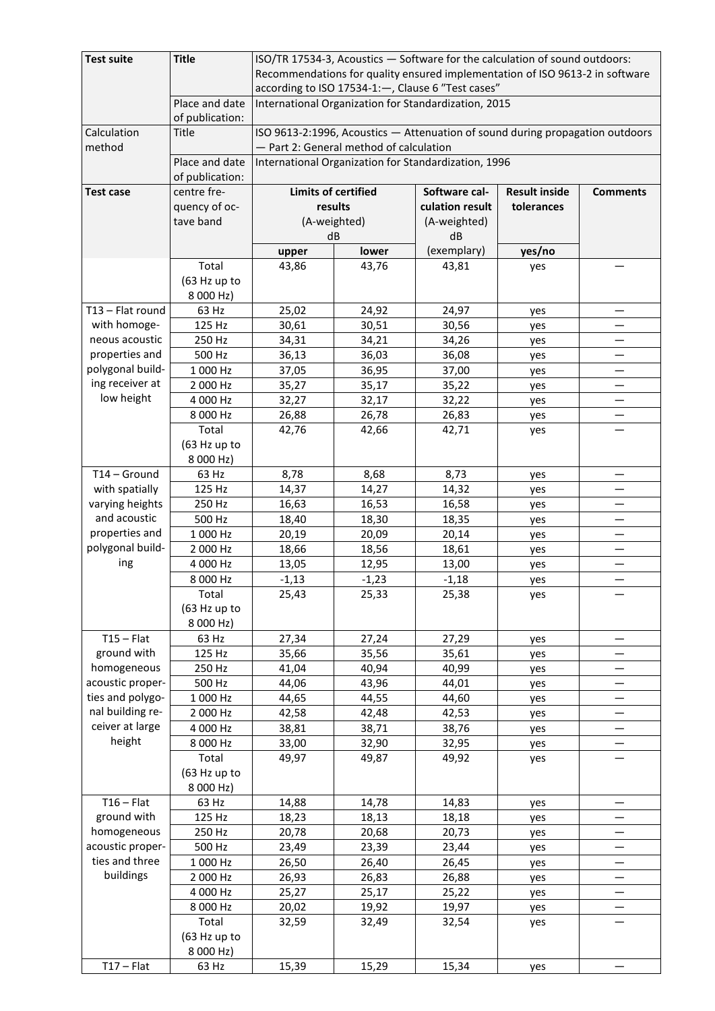| <b>Test suite</b> | <b>Title</b><br>ISO/TR 17534-3, Acoustics - Software for the calculation of sound outdoors: |                                                                                                           |              |                 |            |                        |  |  |  |
|-------------------|---------------------------------------------------------------------------------------------|-----------------------------------------------------------------------------------------------------------|--------------|-----------------|------------|------------------------|--|--|--|
|                   |                                                                                             | Recommendations for quality ensured implementation of ISO 9613-2 in software                              |              |                 |            |                        |  |  |  |
|                   |                                                                                             | according to ISO 17534-1:-, Clause 6 "Test cases"<br>International Organization for Standardization, 2015 |              |                 |            |                        |  |  |  |
|                   | Place and date                                                                              |                                                                                                           |              |                 |            |                        |  |  |  |
|                   | of publication:                                                                             |                                                                                                           |              |                 |            |                        |  |  |  |
| Calculation       | <b>Title</b>                                                                                | ISO 9613-2:1996, Acoustics - Attenuation of sound during propagation outdoors                             |              |                 |            |                        |  |  |  |
| method            |                                                                                             | - Part 2: General method of calculation                                                                   |              |                 |            |                        |  |  |  |
|                   | Place and date                                                                              |                                                                                                           |              |                 |            |                        |  |  |  |
|                   | of publication:                                                                             | International Organization for Standardization, 1996                                                      |              |                 |            |                        |  |  |  |
| <b>Test case</b>  | centre fre-                                                                                 | <b>Limits of certified</b><br>Software cal-<br><b>Result inside</b><br><b>Comments</b>                    |              |                 |            |                        |  |  |  |
|                   | quency of oc-                                                                               |                                                                                                           | results      | culation result | tolerances |                        |  |  |  |
|                   | tave band                                                                                   |                                                                                                           | (A-weighted) | (A-weighted)    |            |                        |  |  |  |
|                   |                                                                                             | dB                                                                                                        |              | dB              |            |                        |  |  |  |
|                   |                                                                                             |                                                                                                           |              |                 |            |                        |  |  |  |
|                   |                                                                                             | upper                                                                                                     | lower        | (exemplary)     | yes/no     |                        |  |  |  |
|                   | Total                                                                                       | 43,86                                                                                                     | 43,76        | 43,81           | yes        |                        |  |  |  |
|                   | (63 Hz up to                                                                                |                                                                                                           |              |                 |            |                        |  |  |  |
|                   | 8 000 Hz)                                                                                   |                                                                                                           |              |                 |            |                        |  |  |  |
| T13 - Flat round  | 63 Hz                                                                                       | 25,02                                                                                                     | 24,92        | 24,97           | yes        | $\qquad \qquad \qquad$ |  |  |  |
| with homoge-      | 125 Hz                                                                                      | 30,61                                                                                                     | 30,51        | 30,56           | yes        |                        |  |  |  |
| neous acoustic    | 250 Hz                                                                                      | 34,31                                                                                                     | 34,21        | 34,26           | yes        | —                      |  |  |  |
| properties and    | 500 Hz                                                                                      | 36,13                                                                                                     | 36,03        | 36,08           | yes        |                        |  |  |  |
| polygonal build-  | 1 000 Hz                                                                                    | 37,05                                                                                                     | 36,95        | 37,00           | yes        |                        |  |  |  |
| ing receiver at   | 2 000 Hz                                                                                    | 35,27                                                                                                     | 35,17        | 35,22           | yes        |                        |  |  |  |
| low height        | 4 000 Hz                                                                                    | 32,27                                                                                                     | 32,17        | 32,22           | yes        |                        |  |  |  |
|                   | 8 000 Hz                                                                                    | 26,88                                                                                                     | 26,78        | 26,83           | yes        |                        |  |  |  |
|                   | Total                                                                                       | 42,76                                                                                                     | 42,66        | 42,71           | yes        |                        |  |  |  |
|                   | (63 Hz up to                                                                                |                                                                                                           |              |                 |            |                        |  |  |  |
|                   | 8 000 Hz)                                                                                   |                                                                                                           |              |                 |            |                        |  |  |  |
| T14 - Ground      | 63 Hz                                                                                       | 8,78                                                                                                      | 8,68         | 8,73            | yes        |                        |  |  |  |
| with spatially    | 125 Hz                                                                                      | 14,37                                                                                                     | 14,27        | 14,32           | yes        |                        |  |  |  |
| varying heights   | 250 Hz                                                                                      | 16,63                                                                                                     | 16,53        | 16,58           | yes        |                        |  |  |  |
| and acoustic      | 500 Hz                                                                                      | 18,40                                                                                                     | 18,30        | 18,35           | yes        |                        |  |  |  |
| properties and    | 1 000 Hz                                                                                    | 20,19                                                                                                     | 20,09        | 20,14           | yes        | —                      |  |  |  |
| polygonal build-  | 2 000 Hz                                                                                    | 18,66                                                                                                     | 18,56        | 18,61           | yes        |                        |  |  |  |
| ing               | 4 000 Hz                                                                                    | 13,05                                                                                                     | 12,95        | 13,00           | yes        |                        |  |  |  |
|                   | 8 000 Hz                                                                                    | $-1,13$                                                                                                   | $-1,23$      | $-1,18$         |            | —                      |  |  |  |
|                   | Total                                                                                       | 25,43                                                                                                     | 25,33        | 25,38           | yes        |                        |  |  |  |
|                   | (63 Hz up to                                                                                |                                                                                                           |              |                 | yes        |                        |  |  |  |
|                   | 8 000 Hz)                                                                                   |                                                                                                           |              |                 |            |                        |  |  |  |
| $T15 - Flat$      |                                                                                             |                                                                                                           |              |                 |            |                        |  |  |  |
|                   | 63 Hz                                                                                       | 27,34                                                                                                     | 27,24        | 27,29           | yes        |                        |  |  |  |
| ground with       | 125 Hz                                                                                      | 35,66                                                                                                     | 35,56        | 35,61           | yes        |                        |  |  |  |
| homogeneous       | 250 Hz                                                                                      | 41,04                                                                                                     | 40,94        | 40,99           | yes        |                        |  |  |  |
| acoustic proper-  | 500 Hz                                                                                      | 44,06                                                                                                     | 43,96        | 44,01           | yes        |                        |  |  |  |
| ties and polygo-  | 1 000 Hz                                                                                    | 44,65                                                                                                     | 44,55        | 44,60           | yes        |                        |  |  |  |
| nal building re-  | 2 000 Hz                                                                                    | 42,58                                                                                                     | 42,48        | 42,53           | yes        |                        |  |  |  |
| ceiver at large   | 4 000 Hz                                                                                    | 38,81                                                                                                     | 38,71        | 38,76           | yes        |                        |  |  |  |
| height            | 8 000 Hz                                                                                    | 33,00                                                                                                     | 32,90        | 32,95           | yes        |                        |  |  |  |
|                   | Total                                                                                       | 49,97                                                                                                     | 49,87        | 49,92           | yes        |                        |  |  |  |
|                   | (63 Hz up to                                                                                |                                                                                                           |              |                 |            |                        |  |  |  |
|                   | 8 000 Hz)                                                                                   |                                                                                                           |              |                 |            |                        |  |  |  |
| $T16 - Flat$      | 63 Hz                                                                                       | 14,88                                                                                                     | 14,78        | 14,83           | yes        |                        |  |  |  |
| ground with       | 125 Hz                                                                                      | 18,23                                                                                                     | 18,13        | 18,18           | yes        |                        |  |  |  |
| homogeneous       | 250 Hz                                                                                      | 20,78                                                                                                     | 20,68        | 20,73           | yes        |                        |  |  |  |
| acoustic proper-  | 500 Hz                                                                                      | 23,49                                                                                                     | 23,39        | 23,44           | yes        |                        |  |  |  |
| ties and three    | 1 000 Hz                                                                                    | 26,50                                                                                                     | 26,40        | 26,45           | yes        |                        |  |  |  |
| buildings         | 2 000 Hz                                                                                    | 26,93                                                                                                     | 26,83        | 26,88           | yes        |                        |  |  |  |
|                   | 4 000 Hz                                                                                    | 25,27                                                                                                     | 25,17        | 25,22           | yes        |                        |  |  |  |
|                   | 8 000 Hz                                                                                    | 20,02                                                                                                     | 19,92        | 19,97           | yes        |                        |  |  |  |
|                   | Total                                                                                       | 32,59                                                                                                     | 32,49        | 32,54           | yes        |                        |  |  |  |
|                   | (63 Hz up to                                                                                |                                                                                                           |              |                 |            |                        |  |  |  |
|                   | 8 000 Hz)                                                                                   |                                                                                                           |              |                 |            |                        |  |  |  |
| $T17 - Flat$      | 63 Hz                                                                                       | 15,39                                                                                                     | 15,29        | 15,34           | yes        |                        |  |  |  |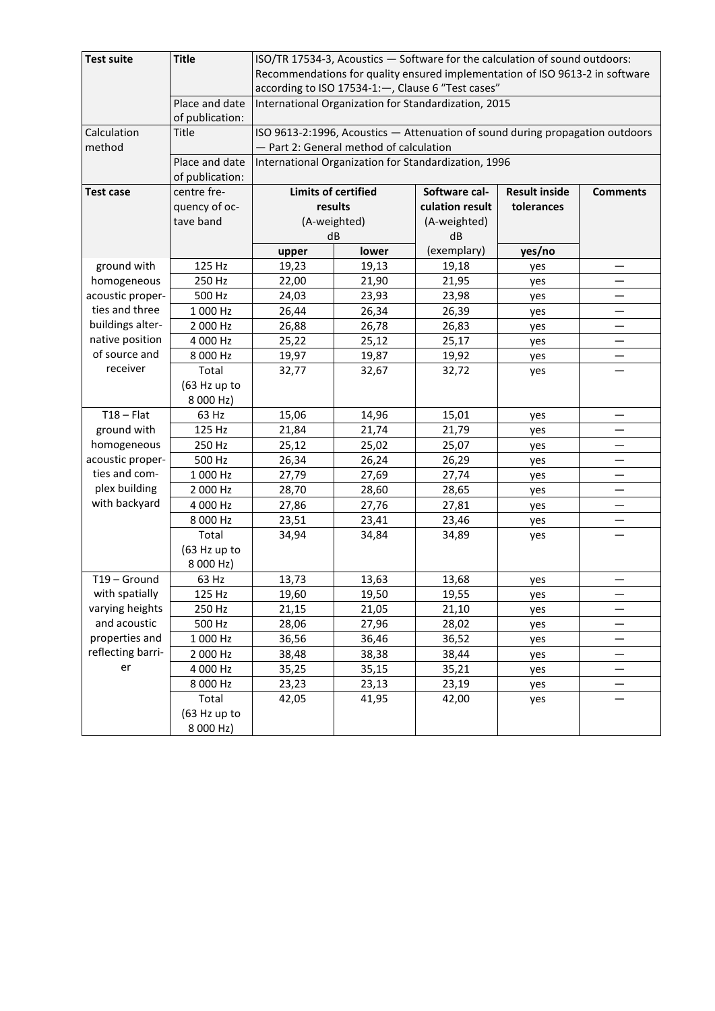| <b>Test suite</b> | <b>Title</b>    | ISO/TR 17534-3, Acoustics - Software for the calculation of sound outdoors:   |                                                                                        |                 |            |   |  |  |
|-------------------|-----------------|-------------------------------------------------------------------------------|----------------------------------------------------------------------------------------|-----------------|------------|---|--|--|
|                   |                 | Recommendations for quality ensured implementation of ISO 9613-2 in software  |                                                                                        |                 |            |   |  |  |
|                   |                 | according to ISO 17534-1:-, Clause 6 "Test cases"                             |                                                                                        |                 |            |   |  |  |
|                   | Place and date  | International Organization for Standardization, 2015                          |                                                                                        |                 |            |   |  |  |
|                   | of publication: |                                                                               |                                                                                        |                 |            |   |  |  |
| Calculation       | Title           | ISO 9613-2:1996, Acoustics - Attenuation of sound during propagation outdoors |                                                                                        |                 |            |   |  |  |
| method            |                 |                                                                               | - Part 2: General method of calculation                                                |                 |            |   |  |  |
|                   | Place and date  | International Organization for Standardization, 1996                          |                                                                                        |                 |            |   |  |  |
|                   | of publication: |                                                                               |                                                                                        |                 |            |   |  |  |
| <b>Test case</b>  | centre fre-     |                                                                               | <b>Limits of certified</b><br><b>Result inside</b><br>Software cal-<br><b>Comments</b> |                 |            |   |  |  |
|                   | quency of oc-   |                                                                               | results                                                                                | culation result | tolerances |   |  |  |
|                   | tave band       |                                                                               | (A-weighted)                                                                           | (A-weighted)    |            |   |  |  |
|                   |                 |                                                                               | dB                                                                                     | dB              |            |   |  |  |
|                   |                 | upper                                                                         | lower                                                                                  | (exemplary)     | yes/no     |   |  |  |
| ground with       | 125 Hz          | 19,23                                                                         | 19,13                                                                                  | 19,18           | yes        | — |  |  |
| homogeneous       | 250 Hz          | 22,00                                                                         | 21,90                                                                                  | 21,95           | yes        |   |  |  |
| acoustic proper-  | 500 Hz          | 24,03                                                                         | 23,93                                                                                  | 23,98           | yes        |   |  |  |
| ties and three    | 1 000 Hz        | 26,44                                                                         | 26,34                                                                                  | 26,39           | yes        |   |  |  |
| buildings alter-  | 2 000 Hz        | 26,88                                                                         | 26,78                                                                                  | 26,83           | yes        |   |  |  |
| native position   | 4 000 Hz        | 25,22                                                                         | 25,12                                                                                  | 25,17           | yes        |   |  |  |
| of source and     | 8 000 Hz        | 19,97                                                                         | 19,87                                                                                  | 19,92           | yes        |   |  |  |
| receiver          | Total           | 32,77                                                                         | 32,67                                                                                  | 32,72           | yes        |   |  |  |
|                   | (63 Hz up to    |                                                                               |                                                                                        |                 |            |   |  |  |
|                   | 8 000 Hz)       |                                                                               |                                                                                        |                 |            |   |  |  |
| $T18 - Flat$      | 63 Hz           | 15,06                                                                         | 14,96                                                                                  | 15,01           | yes        |   |  |  |
| ground with       | 125 Hz          | 21,84                                                                         | 21,74                                                                                  | 21,79           | yes        |   |  |  |
| homogeneous       | 250 Hz          | 25,12                                                                         | 25,02                                                                                  | 25,07           | yes        |   |  |  |
| acoustic proper-  | 500 Hz          | 26,34                                                                         | 26,24                                                                                  | 26,29           | yes        |   |  |  |
| ties and com-     | 1 000 Hz        | 27,79                                                                         | 27,69                                                                                  | 27,74           | yes        | — |  |  |
| plex building     | 2 000 Hz        | 28,70                                                                         | 28,60                                                                                  | 28,65           | yes        |   |  |  |
| with backyard     | 4 000 Hz        | 27,86                                                                         | 27,76                                                                                  | 27,81           | yes        |   |  |  |
|                   | 8 000 Hz        | 23,51                                                                         | 23,41                                                                                  | 23,46           | yes        |   |  |  |
|                   | Total           | 34,94                                                                         | 34,84                                                                                  | 34,89           | yes        |   |  |  |
|                   | (63 Hz up to    |                                                                               |                                                                                        |                 |            |   |  |  |
|                   | 8 000 Hz)       |                                                                               |                                                                                        |                 |            |   |  |  |
| T19 - Ground      | 63 Hz           | 13,73                                                                         | 13,63                                                                                  | 13,68           | yes        |   |  |  |
| with spatially    | 125 Hz          | 19,60                                                                         | 19,50                                                                                  | 19,55           | yes        | — |  |  |
| varying heights   | 250 Hz          | 21,15                                                                         | 21,05                                                                                  | 21,10           | yes        |   |  |  |
| and acoustic      | 500 Hz          | 28,06                                                                         | 27,96                                                                                  | 28,02           | yes        |   |  |  |
| properties and    | 1 000 Hz        | 36,56                                                                         | 36,46                                                                                  | 36,52           | yes        |   |  |  |
| reflecting barri- | 2 000 Hz        | 38,48                                                                         | 38,38                                                                                  | 38,44           | yes        | — |  |  |
| er                | 4 000 Hz        | 35,25                                                                         | 35,15                                                                                  | 35,21           | yes        |   |  |  |
|                   | 8 000 Hz        | 23,23                                                                         | 23,13                                                                                  | 23,19           | yes        | — |  |  |
|                   | Total           | 42,05                                                                         | 41,95                                                                                  | 42,00           | yes        |   |  |  |
|                   | (63 Hz up to    |                                                                               |                                                                                        |                 |            |   |  |  |
|                   | 8 000 Hz)       |                                                                               |                                                                                        |                 |            |   |  |  |